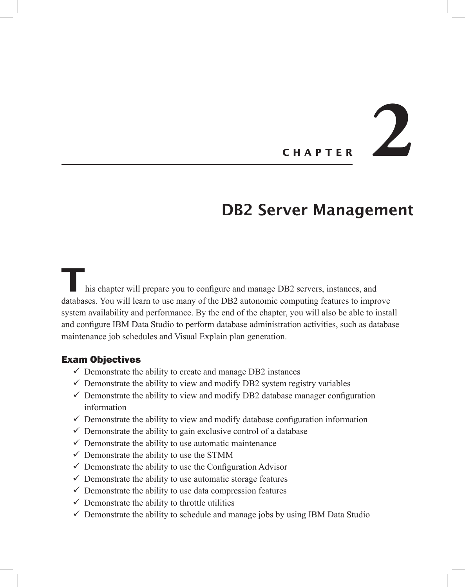# **Chapte <sup>r</sup> 2**

## DB2 Server Management

**T**his chapter will prepare you to configure and manage DB2 servers, instances, and databases. You will learn to use many of the DB2 autonomic computing features to improve system availability and performance. By the end of the chapter, you will also be able to install and configure IBM Data Studio to perform database administration activities, such as database maintenance job schedules and Visual Explain plan generation.

#### Exam Objectives

- $\checkmark$  Demonstrate the ability to create and manage DB2 instances
- $\checkmark$  Demonstrate the ability to view and modify DB2 system registry variables
- $\checkmark$  Demonstrate the ability to view and modify DB2 database manager configuration information
- $\checkmark$  Demonstrate the ability to view and modify database configuration information
- $\checkmark$  Demonstrate the ability to gain exclusive control of a database
- $\checkmark$  Demonstrate the ability to use automatic maintenance
- $\checkmark$  Demonstrate the ability to use the STMM
- $\checkmark$  Demonstrate the ability to use the Configuration Advisor
- $\checkmark$  Demonstrate the ability to use automatic storage features
- $\checkmark$  Demonstrate the ability to use data compression features
- $\checkmark$  Demonstrate the ability to throttle utilities
- $\checkmark$  Demonstrate the ability to schedule and manage jobs by using IBM Data Studio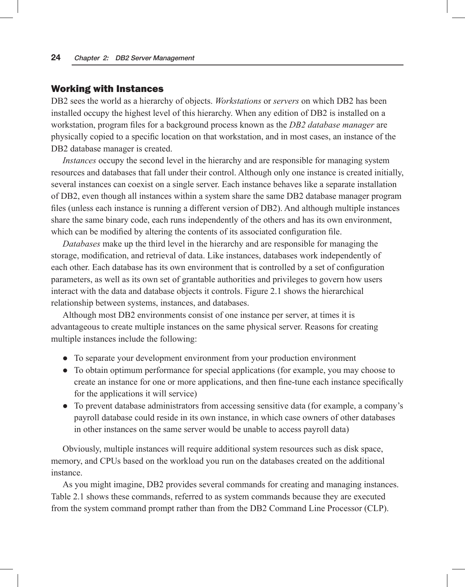#### Working with Instances

DB2 sees the world as a hierarchy of objects. *Workstations* or *servers* on which DB2 has been installed occupy the highest level of this hierarchy. When any edition of DB2 is installed on a workstation, program files for a background process known as the *DB2 database manager* are physically copied to a specific location on that workstation, and in most cases, an instance of the DB2 database manager is created.

*Instances* occupy the second level in the hierarchy and are responsible for managing system resources and databases that fall under their control. Although only one instance is created initially, several instances can coexist on a single server. Each instance behaves like a separate installation of DB2, even though all instances within a system share the same DB2 database manager program files (unless each instance is running a different version of DB2). And although multiple instances share the same binary code, each runs independently of the others and has its own environment, which can be modified by altering the contents of its associated configuration file.

*Databases* make up the third level in the hierarchy and are responsible for managing the storage, modification, and retrieval of data. Like instances, databases work independently of each other. Each database has its own environment that is controlled by a set of configuration parameters, as well as its own set of grantable authorities and privileges to govern how users interact with the data and database objects it controls. Figure 2.1 shows the hierarchical relationship between systems, instances, and databases.

Although most DB2 environments consist of one instance per server, at times it is advantageous to create multiple instances on the same physical server. Reasons for creating multiple instances include the following:

- To separate your development environment from your production environment
- To obtain optimum performance for special applications (for example, you may choose to create an instance for one or more applications, and then fine-tune each instance specifically for the applications it will service)
- To prevent database administrators from accessing sensitive data (for example, a company's payroll database could reside in its own instance, in which case owners of other databases in other instances on the same server would be unable to access payroll data)

Obviously, multiple instances will require additional system resources such as disk space, memory, and CPUs based on the workload you run on the databases created on the additional instance.

As you might imagine, DB2 provides several commands for creating and managing instances. Table 2.1 shows these commands, referred to as system commands because they are executed from the system command prompt rather than from the DB2 Command Line Processor (CLP).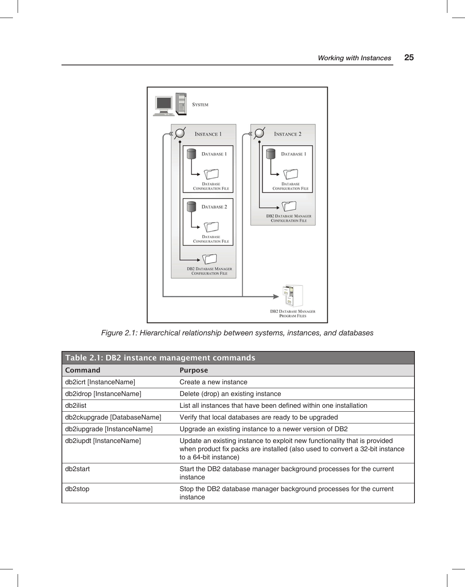

*Figure 2.1: Hierarchical relationship between systems, instances, and databases*

| Table 2.1: DB2 instance management commands |                                                                                                                                                                                    |  |
|---------------------------------------------|------------------------------------------------------------------------------------------------------------------------------------------------------------------------------------|--|
| Command                                     | <b>Purpose</b>                                                                                                                                                                     |  |
| db2icrt [InstanceName]                      | Create a new instance                                                                                                                                                              |  |
| db2idrop [InstanceName]                     | Delete (drop) an existing instance                                                                                                                                                 |  |
| db2ilist                                    | List all instances that have been defined within one installation                                                                                                                  |  |
| db2ckupgrade [DatabaseName]                 | Verify that local databases are ready to be upgraded                                                                                                                               |  |
| db2iupgrade [InstanceName]                  | Upgrade an existing instance to a newer version of DB2                                                                                                                             |  |
| db2iupdt [InstanceName]                     | Update an existing instance to exploit new functionality that is provided<br>when product fix packs are installed (also used to convert a 32-bit instance<br>to a 64-bit instance) |  |
| db <sub>2start</sub>                        | Start the DB2 database manager background processes for the current<br>instance                                                                                                    |  |
| db <sub>2</sub> stop                        | Stop the DB2 database manager background processes for the current<br>instance                                                                                                     |  |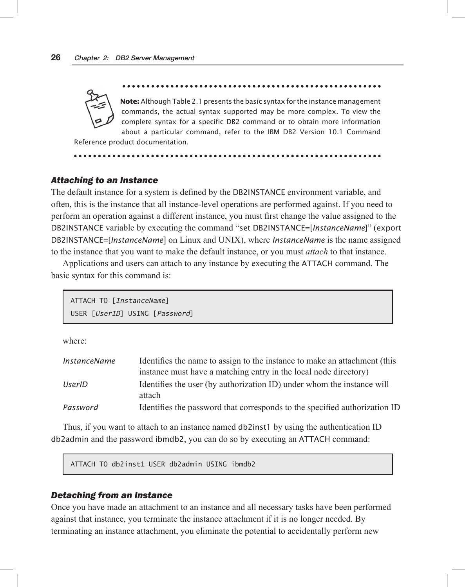**Note:** Although Table 2.1 presents the basic syntax for the instance management commands, the actual syntax supported may be more complex. To view the complete syntax for a specific DB2 command or to obtain more information about a particular command, refer to the IBM DB2 Version 10.1 Command

Reference product documentation.

#### *Attaching to an Instance*

The default instance for a system is defined by the DB2INSTANCE environment variable, and often, this is the instance that all instance-level operations are performed against. If you need to perform an operation against a different instance, you must first change the value assigned to the DB2INSTANCE variable by executing the command "set DB2INSTANCE=[*InstanceName*]" (export DB2INSTANCE=[*InstanceName*] on Linux and UNIX), where *InstanceName* is the name assigned to the instance that you want to make the default instance, or you must *attach* to that instance.

Applications and users can attach to any instance by executing the ATTACH command. The basic syntax for this command is:

ATTACH TO [*InstanceName*] USER [*UserID*] USING [*Password*]

where:

| InstanceName | Identifies the name to assign to the instance to make an attachment (this        |
|--------------|----------------------------------------------------------------------------------|
|              | instance must have a matching entry in the local node directory)                 |
| UserID       | Identifies the user (by authorization ID) under whom the instance will<br>attach |
| Password     | Identifies the password that corresponds to the specified authorization ID       |

Thus, if you want to attach to an instance named db2inst1 by using the authentication ID db2admin and the password ibmdb2, you can do so by executing an ATTACH command:

ATTACH TO db2inst1 USER db2admin USING ibmdb2

#### *Detaching from an Instance*

Once you have made an attachment to an instance and all necessary tasks have been performed against that instance, you terminate the instance attachment if it is no longer needed. By terminating an instance attachment, you eliminate the potential to accidentally perform new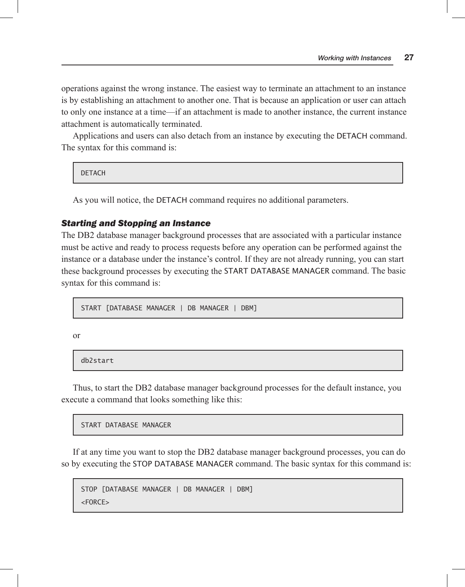operations against the wrong instance. The easiest way to terminate an attachment to an instance is by establishing an attachment to another one. That is because an application or user can attach to only one instance at a time—if an attachment is made to another instance, the current instance attachment is automatically terminated.

Applications and users can also detach from an instance by executing the DETACH command. The syntax for this command is:

**DETACH** 

As you will notice, the DETACH command requires no additional parameters.

#### *Starting and Stopping an Instance*

The DB2 database manager background processes that are associated with a particular instance must be active and ready to process requests before any operation can be performed against the instance or a database under the instance's control. If they are not already running, you can start these background processes by executing the START DATABASE MANAGER command. The basic syntax for this command is:

START [DATABASE MANAGER | DB MANAGER | DBM]

or

db2start

Thus, to start the DB2 database manager background processes for the default instance, you execute a command that looks something like this:

START DATABASE MANAGER

If at any time you want to stop the DB2 database manager background processes, you can do so by executing the STOP DATABASE MANAGER command. The basic syntax for this command is:

```
STOP [DATABASE MANAGER | DB MANAGER | DBM]
<FORCE>
```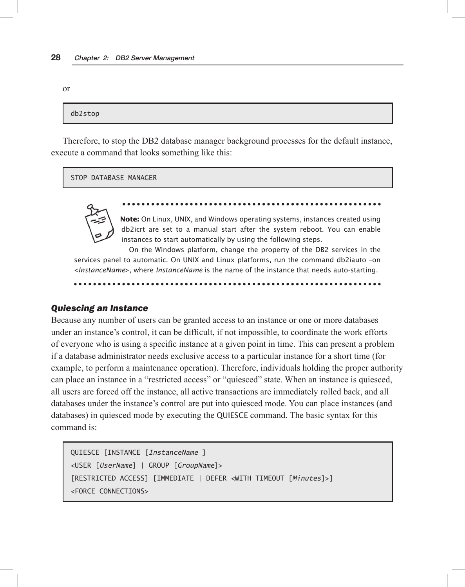or

```
db2stop
```
Therefore, to stop the DB2 database manager background processes for the default instance, execute a command that looks something like this:

STOP DATABASE MANAGER



**Note:** On Linux, UNIX, and Windows operating systems, instances created using db2icrt are set to a manual start after the system reboot. You can enable instances to start automatically by using the following steps.

On the Windows platform, change the property of the DB2 services in the services panel to automatic. On UNIX and Linux platforms, run the command db2iauto –on <*InstanceName*>, where *InstanceName* is the name of the instance that needs auto-starting.

#### *Quiescing an Instance*

Because any number of users can be granted access to an instance or one or more databases under an instance's control, it can be difficult, if not impossible, to coordinate the work efforts of everyone who is using a specific instance at a given point in time. This can present a problem if a database administrator needs exclusive access to a particular instance for a short time (for example, to perform a maintenance operation). Therefore, individuals holding the proper authority can place an instance in a "restricted access" or "quiesced" state. When an instance is quiesced, all users are forced off the instance, all active transactions are immediately rolled back, and all databases under the instance's control are put into quiesced mode. You can place instances (and databases) in quiesced mode by executing the QUIESCE command. The basic syntax for this command is:

```
QUIESCE [INSTANCE [InstanceName ]
<USER [UserName] | GROUP [GroupName]>
[RESTRICTED ACCESS] [IMMEDIATE | DEFER <WITH TIMEOUT [Minutes]>]
<FORCE CONNECTIONS>
```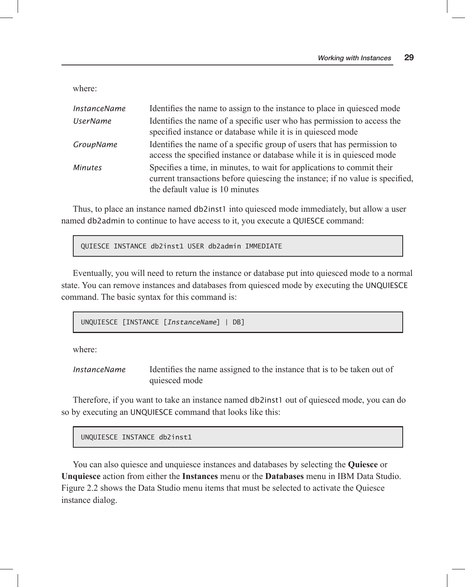where:

| <b>InstanceName</b> | Identifies the name to assign to the instance to place in quiesced mode                                                                                                                    |
|---------------------|--------------------------------------------------------------------------------------------------------------------------------------------------------------------------------------------|
| <b>UserName</b>     | Identifies the name of a specific user who has permission to access the<br>specified instance or database while it is in quiesced mode                                                     |
| <b>GroupName</b>    | Identifies the name of a specific group of users that has permission to<br>access the specified instance or database while it is in quiesced mode                                          |
| <b>Minutes</b>      | Specifies a time, in minutes, to wait for applications to commit their<br>current transactions before quiescing the instance; if no value is specified,<br>the default value is 10 minutes |

Thus, to place an instance named db2inst1 into quiesced mode immediately, but allow a user named db2admin to continue to have access to it, you execute a QUIESCE command:

QUIESCE INSTANCE db2inst1 USER db2admin IMMEDIATE

Eventually, you will need to return the instance or database put into quiesced mode to a normal state. You can remove instances and databases from quiesced mode by executing the UNQUIESCE command. The basic syntax for this command is:

UNQUIESCE [INSTANCE [*InstanceName*] | DB]

where:

*InstanceName* Identifies the name assigned to the instance that is to be taken out of quiesced mode

Therefore, if you want to take an instance named db2inst1 out of quiesced mode, you can do so by executing an UNQUIESCE command that looks like this:

UNQUIESCE INSTANCE db2inst1

You can also quiesce and unquiesce instances and databases by selecting the **Quiesce** or **Unquiesce** action from either the **Instances** menu or the **Databases** menu in IBM Data Studio. Figure 2.2 shows the Data Studio menu items that must be selected to activate the Quiesce instance dialog.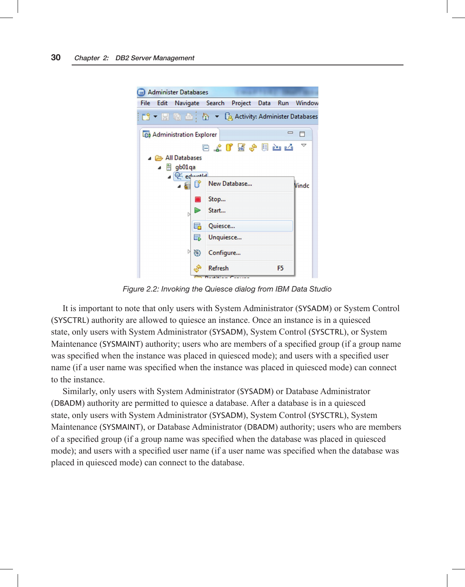

*Figure 2.2: Invoking the Quiesce dialog from IBM Data Studio*

It is important to note that only users with System Administrator (SYSADM) or System Control (SYSCTRL) authority are allowed to quiesce an instance. Once an instance is in a quiesced state, only users with System Administrator (SYSADM), System Control (SYSCTRL), or System Maintenance (SYSMAINT) authority; users who are members of a specified group (if a group name was specified when the instance was placed in quiesced mode); and users with a specified user name (if a user name was specified when the instance was placed in quiesced mode) can connect to the instance.

Similarly, only users with System Administrator (SYSADM) or Database Administrator (DBADM) authority are permitted to quiesce a database. After a database is in a quiesced state, only users with System Administrator (SYSADM), System Control (SYSCTRL), System Maintenance (SYSMAINT), or Database Administrator (DBADM) authority; users who are members of a specified group (if a group name was specified when the database was placed in quiesced mode); and users with a specified user name (if a user name was specified when the database was placed in quiesced mode) can connect to the database.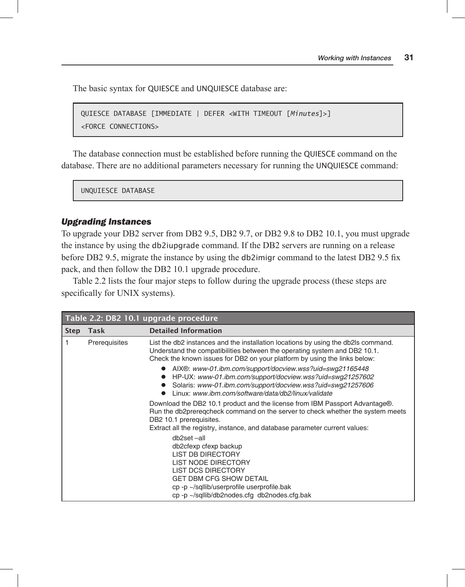The basic syntax for QUIESCE and UNQUIESCE database are:

```
QUIESCE DATABASE [IMMEDIATE | DEFER <WITH TIMEOUT [Minutes]>]
<FORCE CONNECTIONS>
```
The database connection must be established before running the QUIESCE command on the database. There are no additional parameters necessary for running the UNQUIESCE command:

UNQUIESCE DATABASE

#### *Upgrading Instances*

To upgrade your DB2 server from DB2 9.5, DB2 9.7, or DB2 9.8 to DB2 10.1, you must upgrade the instance by using the db2iupgrade command. If the DB2 servers are running on a release before DB2 9.5, migrate the instance by using the db2imigr command to the latest DB2 9.5 fix pack, and then follow the DB2 10.1 upgrade procedure.

Table 2.2 lists the four major steps to follow during the upgrade process (these steps are specifically for UNIX systems).

| Table 2.2: DB2 10.1 upgrade procedure |               |                                                                                                                                                                                                                                                                                    |
|---------------------------------------|---------------|------------------------------------------------------------------------------------------------------------------------------------------------------------------------------------------------------------------------------------------------------------------------------------|
| <b>Step</b>                           | Task          | <b>Detailed Information</b>                                                                                                                                                                                                                                                        |
| 1                                     | Prerequisites | List the db2 instances and the installation locations by using the db2ls command.<br>Understand the compatibilities between the operating system and DB2 10.1.<br>Check the known issues for DB2 on your platform by using the links below:                                        |
|                                       |               | AIX®: www-01.ibm.com/support/docview.wss?uid=swg21165448<br>HP-UX: www-01.ibm.com/support/docview.wss?uid=swg21257602<br>Solaris: www-01.ibm.com/support/docview.wss?uid=swg21257606<br>Linux: www.ibm.com/software/data/db2/linux/validate                                        |
|                                       |               | Download the DB2 10.1 product and the license from IBM Passport Advantage®.<br>Run the db2preregcheck command on the server to check whether the system meets<br>DB <sub>2</sub> 10.1 prerequisites.<br>Extract all the registry, instance, and database parameter current values: |
|                                       |               | db2set-all<br>db2cfexp cfexp backup<br><b>LIST DB DIRECTORY</b><br><b>LIST NODE DIRECTORY</b><br>LIST DCS DIRECTORY<br><b>GET DBM CFG SHOW DETAIL</b><br>cp -p $\sim$ /sqllib/userprofile userprofile.bak<br>cp-p ~/sqllib/db2nodes.cfg db2nodes.cfg.bak                           |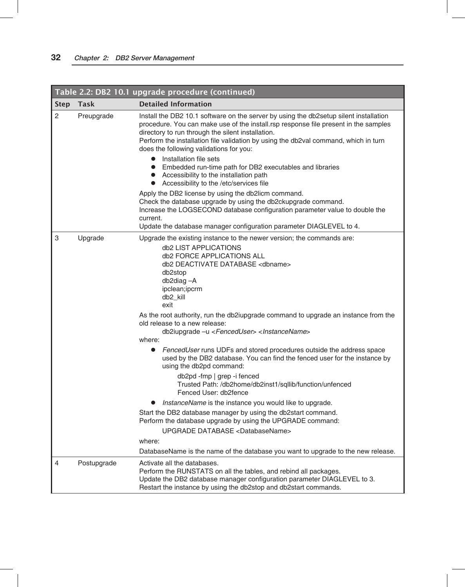|                |             | Table 2.2: DB2 10.1 upgrade procedure (continued)                                                                                                                                                                                                                                                                                                                                               |
|----------------|-------------|-------------------------------------------------------------------------------------------------------------------------------------------------------------------------------------------------------------------------------------------------------------------------------------------------------------------------------------------------------------------------------------------------|
| <b>Step</b>    | Task        | <b>Detailed Information</b>                                                                                                                                                                                                                                                                                                                                                                     |
| $\overline{c}$ | Preupgrade  | Install the DB2 10.1 software on the server by using the db2setup silent installation<br>procedure. You can make use of the install rsp response file present in the samples<br>directory to run through the silent installation.<br>Perform the installation file validation by using the db2val command, which in turn<br>does the following validations for you:<br>• Installation file sets |
|                |             | • Embedded run-time path for DB2 executables and libraries<br>• Accessibility to the installation path<br>• Accessibility to the /etc/services file                                                                                                                                                                                                                                             |
|                |             | Apply the DB2 license by using the db2licm command.<br>Check the database upgrade by using the db2ckupgrade command.<br>Increase the LOGSECOND database configuration parameter value to double the<br>current.                                                                                                                                                                                 |
|                |             | Update the database manager configuration parameter DIAGLEVEL to 4.                                                                                                                                                                                                                                                                                                                             |
| 3              | Upgrade     | Upgrade the existing instance to the newer version; the commands are:<br>db2 LIST APPLICATIONS<br>db2 FORCE APPLICATIONS ALL<br>db2 DEACTIVATE DATABASE <dbname><br/>db<sub>2stop</sub><br/>db2diag-A<br/>ipclean;ipcrm<br/>db2_kill<br/>exit</dbname>                                                                                                                                          |
|                |             | As the root authority, run the db2iupgrade command to upgrade an instance from the<br>old release to a new release:<br>db2iupgrade -u <fenceduser> <instancename><br/>where:</instancename></fenceduser>                                                                                                                                                                                        |
|                |             | FencedUser runs UDFs and stored procedures outside the address space<br>$\bullet$<br>used by the DB2 database. You can find the fenced user for the instance by<br>using the db2pd command:                                                                                                                                                                                                     |
|                |             | db2pd -fmp   grep -i fenced<br>Trusted Path: /db2home/db2inst1/sqllib/function/unfenced<br>Fenced User: db2fence                                                                                                                                                                                                                                                                                |
|                |             | <i>InstanceName</i> is the instance you would like to upgrade.                                                                                                                                                                                                                                                                                                                                  |
|                |             | Start the DB2 database manager by using the db2start command.<br>Perform the database upgrade by using the UPGRADE command:                                                                                                                                                                                                                                                                     |
|                |             | UPGRADE DATABASE <databasename></databasename>                                                                                                                                                                                                                                                                                                                                                  |
|                |             | where:<br>DatabaseName is the name of the database you want to upgrade to the new release.                                                                                                                                                                                                                                                                                                      |
| 4              | Postupgrade | Activate all the databases.<br>Perform the RUNSTATS on all the tables, and rebind all packages.<br>Update the DB2 database manager configuration parameter DIAGLEVEL to 3.<br>Restart the instance by using the db2stop and db2start commands.                                                                                                                                                  |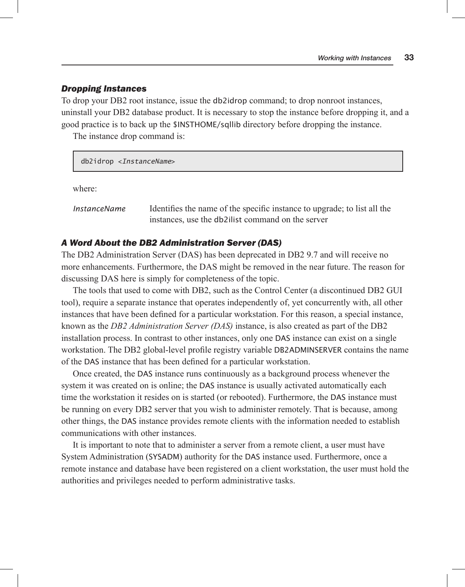#### *Dropping Instances*

To drop your DB2 root instance, issue the db2idrop command; to drop nonroot instances, uninstall your DB2 database product. It is necessary to stop the instance before dropping it, and a good practice is to back up the \$INSTHOME/sqllib directory before dropping the instance.

The instance drop command is:

#### db2idrop <*InstanceName*>

where:

*InstanceName* Identifies the name of the specific instance to upgrade; to list all the instances, use the db2ilist command on the server

#### *A Word About the DB2 Administration Server (DAS)*

The DB2 Administration Server (DAS) has been deprecated in DB2 9.7 and will receive no more enhancements. Furthermore, the DAS might be removed in the near future. The reason for discussing DAS here is simply for completeness of the topic.

The tools that used to come with DB2, such as the Control Center (a discontinued DB2 GUI tool), require a separate instance that operates independently of, yet concurrently with, all other instances that have been defined for a particular workstation. For this reason, a special instance, known as the *DB2 Administration Server (DAS)* instance, is also created as part of the DB2 installation process. In contrast to other instances, only one DAS instance can exist on a single workstation. The DB2 global-level profile registry variable DB2ADMINSERVER contains the name of the DAS instance that has been defined for a particular workstation.

Once created, the DAS instance runs continuously as a background process whenever the system it was created on is online; the DAS instance is usually activated automatically each time the workstation it resides on is started (or rebooted). Furthermore, the DAS instance must be running on every DB2 server that you wish to administer remotely. That is because, among other things, the DAS instance provides remote clients with the information needed to establish communications with other instances.

It is important to note that to administer a server from a remote client, a user must have System Administration (SYSADM) authority for the DAS instance used. Furthermore, once a remote instance and database have been registered on a client workstation, the user must hold the authorities and privileges needed to perform administrative tasks.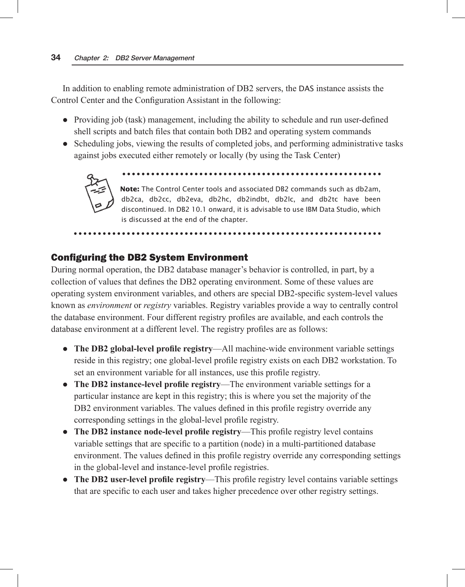In addition to enabling remote administration of DB2 servers, the DAS instance assists the Control Center and the Configuration Assistant in the following:

- $\bullet$  Providing job (task) management, including the ability to schedule and run user-defined shell scripts and batch files that contain both DB2 and operating system commands
- $\bullet$  Scheduling jobs, viewing the results of completed jobs, and performing administrative tasks against jobs executed either remotely or locally (by using the Task Center)



**Note:** The Control Center tools and associated DB2 commands such as db2am,

db2ca, db2cc, db2eva, db2hc, db2indbt, db2lc, and db2tc have been discontinued. In DB2 10.1 onward, it is advisable to use IBM Data Studio, which is discussed at the end of the chapter.

### Configuring the DB2 System Environment

During normal operation, the DB2 database manager's behavior is controlled, in part, by a collection of values that defines the DB2 operating environment. Some of these values are operating system environment variables, and others are special DB2-specific system-level values known as *environment* or *registry* variables. Registry variables provide a way to centrally control the database environment. Four different registry profiles are available, and each controls the database environment at a different level. The registry profiles are as follows:

- The DB2 global-level profile registry—All machine-wide environment variable settings reside in this registry; one global-level profile registry exists on each DB2 workstation. To set an environment variable for all instances, use this profile registry.
- **The DB2 instance-level profile registry—The environment variable settings for a** particular instance are kept in this registry; this is where you set the majority of the DB2 environment variables. The values defined in this profile registry override any corresponding settings in the global-level profile registry.
- The DB2 instance node-level profile registry—This profile registry level contains variable settings that are specific to a partition (node) in a multi-partitioned database environment. The values defined in this profile registry override any corresponding settings in the global-level and instance-level profile registries.
- The DB2 user-level profile registry—This profile registry level contains variable settings that are specific to each user and takes higher precedence over other registry settings.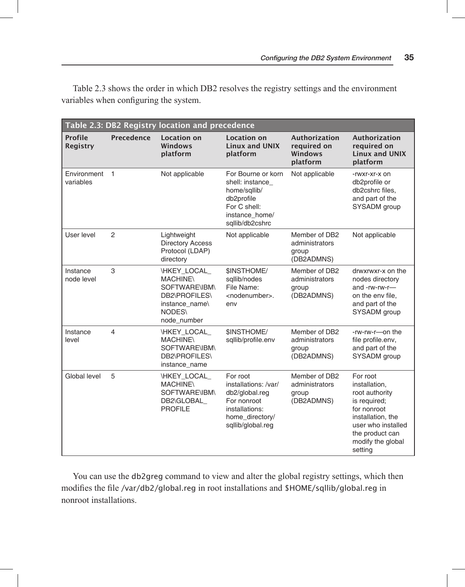| Table 2.3: DB2 Registry location and precedence |                |                                                                                                                     |                                                                                                                                      |                                                            |                                                                                                                                                                          |
|-------------------------------------------------|----------------|---------------------------------------------------------------------------------------------------------------------|--------------------------------------------------------------------------------------------------------------------------------------|------------------------------------------------------------|--------------------------------------------------------------------------------------------------------------------------------------------------------------------------|
| Profile<br><b>Registry</b>                      | Precedence     | <b>Location on</b><br>Windows<br>platform                                                                           | <b>Location on</b><br><b>Linux and UNIX</b><br>platform                                                                              | <b>Authorization</b><br>required on<br>Windows<br>platform | Authorization<br>required on<br><b>Linux and UNIX</b><br>platform                                                                                                        |
| Environment<br>variables                        | $\overline{1}$ | Not applicable                                                                                                      | For Bourne or korn<br>shell: instance<br>home/sqllib/<br>db <sub>2profile</sub><br>For C shell:<br>instance home/<br>sqllib/db2cshrc | Not applicable                                             | -rwxr-xr-x on<br>db <sub>2profile</sub> or<br>db2cshrc files.<br>and part of the<br>SYSADM group                                                                         |
| User level                                      | $\overline{2}$ | Lightweight<br><b>Directory Access</b><br>Protocol (LDAP)<br>directory                                              | Not applicable                                                                                                                       | Member of DB2<br>administrators<br>group<br>(DB2ADMNS)     | Not applicable                                                                                                                                                           |
| Instance<br>node level                          | 3              | \HKEY_LOCAL_<br><b>MACHINE\</b><br>SOFTWARE\IBM\<br><b>DB2\PROFILES\</b><br>instance name\<br>NODES\<br>node_number | <b><i>SINSTHOME/</i></b><br>sallib/nodes<br>File Name:<br><nodenumber>.<br/>env</nodenumber>                                         | Member of DB2<br>administrators<br>group<br>(DB2ADMNS)     | drwxrwxr-x on the<br>nodes directory<br>and -rw-rw-r-<br>on the env file.<br>and part of the<br>SYSADM group                                                             |
| Instance<br>level                               | 4              | \HKEY_LOCAL<br><b>MACHINE\</b><br>SOFTWARE\IBM\<br><b>DB2\PROFILES\</b><br>instance_name                            | <b><i>SINSTHOME/</i></b><br>sqllib/profile.env                                                                                       | Member of DB2<br>administrators<br>group<br>(DB2ADMNS)     | -rw-rw-r-on the<br>file profile.env,<br>and part of the<br>SYSADM group                                                                                                  |
| Global level                                    | 5              | \HKEY_LOCAL<br><b>MACHINE\</b><br>SOFTWARE\IBM\<br>DB2\GLOBAL<br><b>PROFILE</b>                                     | For root<br>installations: /var/<br>db2/global.reg<br>For nonroot<br>installations:<br>home_directory/<br>sqllib/global.reg          | Member of DB2<br>administrators<br>group<br>(DB2ADMNS)     | For root<br>installation.<br>root authority<br>is required;<br>for nonroot<br>installation, the<br>user who installed<br>the product can<br>modify the global<br>setting |

Table 2.3 shows the order in which DB2 resolves the registry settings and the environment variables when configuring the system.

You can use the db2greg command to view and alter the global registry settings, which then modifies the file /var/db2/global.reg in root installations and \$HOME/sqllib/global.reg in nonroot installations.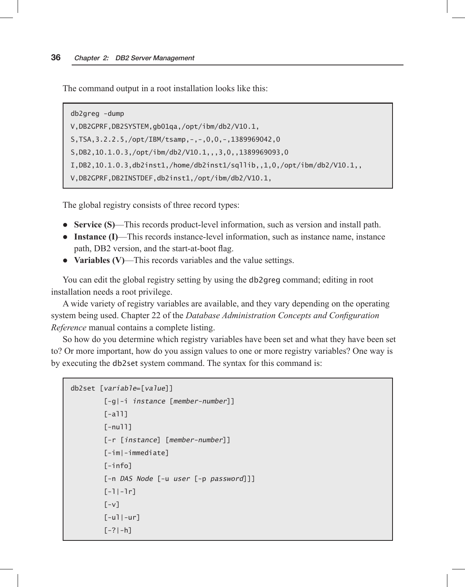The command output in a root installation looks like this:

db2greg -dump V,DB2GPRF,DB2SYSTEM,gb01qa,/opt/ibm/db2/V10.1, S,TSA,3.2.2.5,/opt/IBM/tsamp,-,-,0,0,-,1389969042,0 S,DB2,10.1.0.3,/opt/ibm/db2/V10.1,,,3,0,,1389969093,0 I,DB2,10.1.0.3,db2inst1,/home/db2inst1/sqllib,,1,0,/opt/ibm/db2/V10.1,, V,DB2GPRF,DB2INSTDEF,db2inst1,/opt/ibm/db2/V10.1,

The global registry consists of three record types:

- **Service (S)**—This records product-level information, such as version and install path.
- **Instance (I)—This records instance-level information, such as instance name, instance** path, DB2 version, and the start-at-boot flag.
- Variables (V)—This records variables and the value settings.

You can edit the global registry setting by using the db2greg command; editing in root installation needs a root privilege.

A wide variety of registry variables are available, and they vary depending on the operating system being used. Chapter 22 of the *Database Administration Concepts and Configuration Reference* manual contains a complete listing.

So how do you determine which registry variables have been set and what they have been set to? Or more important, how do you assign values to one or more registry variables? One way is by executing the db2set system command. The syntax for this command is:

```
db2set [variable=[value]]
```

```
 [-g|-i instance [member-number]]
[-a]]]
[-null] [-r [instance] [member-number]]
 [-im|-immediate]
 [-info]
 [-n DAS Node [-u user [-p password]]]
[-1]-1r]\lceil -v \rceil[-u]|-ur]
[-?|-h]
```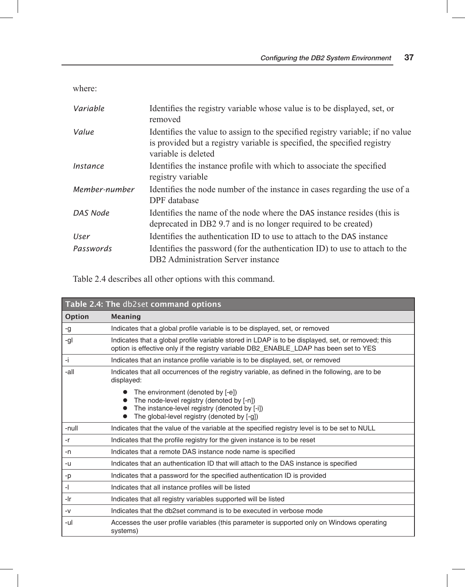where:

| Variable      | Identifies the registry variable whose value is to be displayed, set, or<br>removed                                                                                               |
|---------------|-----------------------------------------------------------------------------------------------------------------------------------------------------------------------------------|
| Value         | Identifies the value to assign to the specified registry variable, if no value<br>is provided but a registry variable is specified, the specified registry<br>variable is deleted |
| Instance      | Identifies the instance profile with which to associate the specified<br>registry variable                                                                                        |
| Member-number | Identifies the node number of the instance in cases regarding the use of a<br>DPF database                                                                                        |
| DAS Node      | Identifies the name of the node where the DAS instance resides (this is<br>deprecated in DB2 9.7 and is no longer required to be created)                                         |
| User          | Identifies the authentication ID to use to attach to the DAS instance                                                                                                             |
| Passwords     | Identifies the password (for the authentication ID) to use to attach to the<br>DB2 Administration Server instance                                                                 |

Table 2.4 describes all other options with this command.

| Table 2.4: The db2set command options |                                                                                                                                                                                            |  |
|---------------------------------------|--------------------------------------------------------------------------------------------------------------------------------------------------------------------------------------------|--|
| Option                                | Meaning                                                                                                                                                                                    |  |
| -g                                    | Indicates that a global profile variable is to be displayed, set, or removed                                                                                                               |  |
| -gl                                   | Indicates that a global profile variable stored in LDAP is to be displayed, set, or removed; this<br>option is effective only if the registry variable DB2_ENABLE_LDAP has been set to YES |  |
| -i.                                   | Indicates that an instance profile variable is to be displayed, set, or removed                                                                                                            |  |
| -all                                  | Indicates that all occurrences of the registry variable, as defined in the following, are to be<br>displayed:                                                                              |  |
|                                       | The environment (denoted by [-e])<br>The node-level registry (denoted by [-n])<br>The instance-level registry (denoted by [-i])<br>The global-level registry (denoted by [-g])             |  |
| -null                                 | Indicates that the value of the variable at the specified registry level is to be set to NULL                                                                                              |  |
| $-r$                                  | Indicates that the profile registry for the given instance is to be reset                                                                                                                  |  |
| -n                                    | Indicates that a remote DAS instance node name is specified                                                                                                                                |  |
| -u                                    | Indicates that an authentication ID that will attach to the DAS instance is specified                                                                                                      |  |
| -p                                    | Indicates that a password for the specified authentication ID is provided                                                                                                                  |  |
| $\overline{\phantom{0}}$              | Indicates that all instance profiles will be listed                                                                                                                                        |  |
| -Ir                                   | Indicates that all registry variables supported will be listed                                                                                                                             |  |
| $-V$                                  | Indicates that the db2set command is to be executed in verbose mode                                                                                                                        |  |
| -ul                                   | Accesses the user profile variables (this parameter is supported only on Windows operating<br>systems)                                                                                     |  |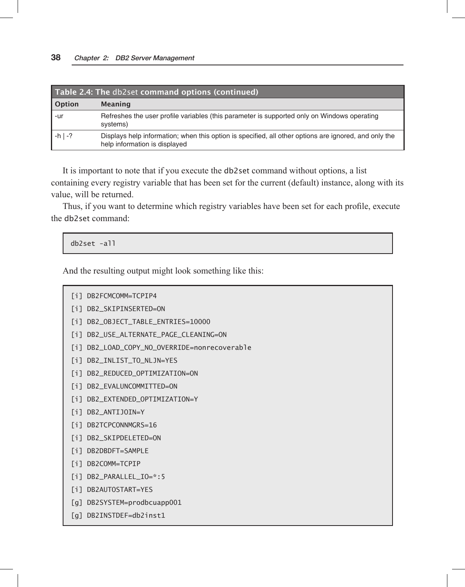| Table 2.4: The db2set command options (continued) |                                                                                                                                        |  |
|---------------------------------------------------|----------------------------------------------------------------------------------------------------------------------------------------|--|
| Option                                            | Meaning                                                                                                                                |  |
| -ur                                               | Refreshes the user profile variables (this parameter is supported only on Windows operating<br>systems)                                |  |
| $-h$   -?                                         | Displays help information; when this option is specified, all other options are ignored, and only the<br>help information is displayed |  |

It is important to note that if you execute the db2set command without options, a list containing every registry variable that has been set for the current (default) instance, along with its value, will be returned.

Thus, if you want to determine which registry variables have been set for each profile, execute the db2set command:

db2set -all

And the resulting output might look something like this:

```
[i] DB2FCMCOMM=TCPIP4
```
- [i] DB2\_SKIPINSERTED=ON
- [i] DB2\_OBJECT\_TABLE\_ENTRIES=10000
- [i] DB2\_USE\_ALTERNATE\_PAGE\_CLEANING=ON
- [i] DB2\_LOAD\_COPY\_NO\_OVERRIDE=nonrecoverable
- [i] DB2\_INLIST\_TO\_NLJN=YES
- [i] DB2\_REDUCED\_OPTIMIZATION=ON
- [i] DB2\_EVALUNCOMMITTED=ON
- [i] DB2\_EXTENDED\_OPTIMIZATION=Y
- [i] DB2\_ANTIJOIN=Y
- [i] DB2TCPCONNMGRS=16
- [i] DB2\_SKIPDELETED=ON
- [i] DB2DBDFT=SAMPLE
- [i] DB2COMM=TCPIP
- [i] DB2\_PARALLEL\_IO=\*:5
- [i] DB2AUTOSTART=YES
- [g] DB2SYSTEM=prodbcuapp001
- [g] DB2INSTDEF=db2inst1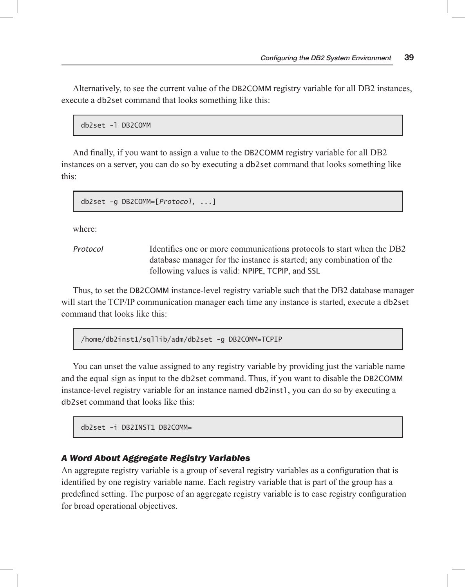Alternatively, to see the current value of the DB2COMM registry variable for all DB2 instances, execute a db2set command that looks something like this:

```
db2set -l DB2COMM
```
And finally, if you want to assign a value to the DB2COMM registry variable for all DB2 instances on a server, you can do so by executing a db2set command that looks something like this:

```
db2set -g DB2COMM=[Protocol, ...]
```
where:

*Protocol* Identifies one or more communications protocols to start when the DB2 database manager for the instance is started; any combination of the following values is valid: NPIPE, TCPIP, and SSL

Thus, to set the DB2COMM instance-level registry variable such that the DB2 database manager will start the TCP/IP communication manager each time any instance is started, execute a db2set command that looks like this:

/home/db2inst1/sqllib/adm/db2set -g DB2COMM=TCPIP

You can unset the value assigned to any registry variable by providing just the variable name and the equal sign as input to the db2set command. Thus, if you want to disable the DB2COMM instance-level registry variable for an instance named db2inst1, you can do so by executing a db2set command that looks like this:

db2set -i DB2INST1 DB2COMM=

#### *A Word About Aggregate Registry Variables*

An aggregate registry variable is a group of several registry variables as a configuration that is identified by one registry variable name. Each registry variable that is part of the group has a predefined setting. The purpose of an aggregate registry variable is to ease registry configuration for broad operational objectives.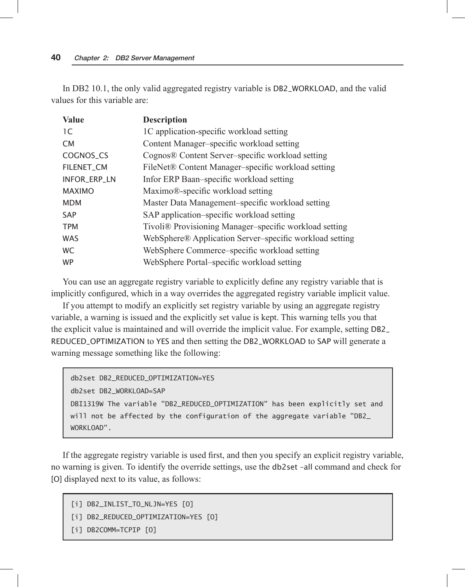In DB2 10.1, the only valid aggregated registry variable is DB2\_WORKLOAD, and the valid values for this variable are:

| <b>Value</b>  | <b>Description</b>                                                 |
|---------------|--------------------------------------------------------------------|
| 1C            | 1C application-specific workload setting                           |
| <b>CM</b>     | Content Manager-specific workload setting                          |
| COGNOS_CS     | Cognos® Content Server-specific workload setting                   |
| FILENET_CM    | FileNet® Content Manager-specific workload setting                 |
| INFOR_ERP_LN  | Infor ERP Baan-specific workload setting                           |
| <b>MAXIMO</b> | Maximo®-specific workload setting                                  |
| <b>MDM</b>    | Master Data Management-specific workload setting                   |
| <b>SAP</b>    | SAP application-specific workload setting                          |
| <b>TPM</b>    | Tivoli <sup>®</sup> Provisioning Manager–specific workload setting |
| <b>WAS</b>    | WebSphere® Application Server–specific workload setting            |
| <b>WC</b>     | WebSphere Commerce-specific workload setting                       |
| <b>WP</b>     | WebSphere Portal-specific workload setting                         |

You can use an aggregate registry variable to explicitly define any registry variable that is implicitly configured, which in a way overrides the aggregated registry variable implicit value.

If you attempt to modify an explicitly set registry variable by using an aggregate registry variable, a warning is issued and the explicitly set value is kept. This warning tells you that the explicit value is maintained and will override the implicit value. For example, setting DB2\_ REDUCED\_OPTIMIZATION to YES and then setting the DB2\_WORKLOAD to SAP will generate a warning message something like the following:

```
db2set DB2_REDUCED_OPTIMIZATION=YES
db2set DB2_WORKLOAD=SAP
DBI1319W The variable "DB2_REDUCED_OPTIMIZATION" has been explicitly set and 
will not be affected by the configuration of the aggregate variable "DB2_
WORKLOAD".
```
If the aggregate registry variable is used first, and then you specify an explicit registry variable, no warning is given. To identify the override settings, use the db2set –all command and check for [O] displayed next to its value, as follows:

```
[i] DB2_INLIST_TO_NLJN=YES [O]
```

```
[i] DB2_REDUCED_OPTIMIZATION=YES [O]
```

```
[i] DB2COMM=TCPIP [O]
```